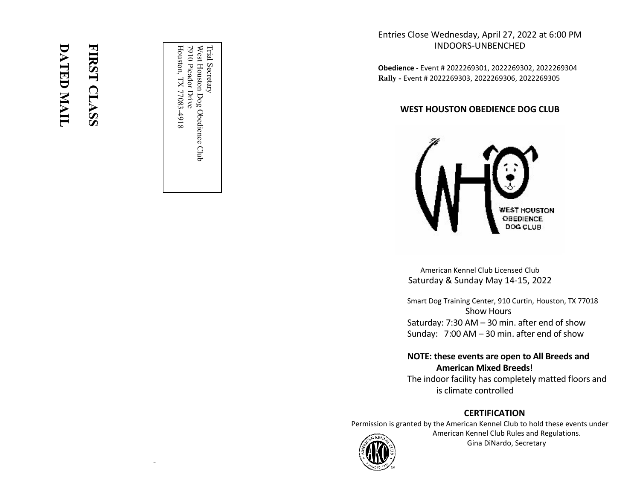# **DATED MAIL**  DATED MAIL

**FIRST CLASS**

FIRST CLASS

Houston, TX 77083-4918 Trial Secretary<br>West Houston Dog Obedience Club<br>7910 Picador Drive<br>Houston TY 77083-4918 Houston, TX 77083-4918 7910 Picador Drive West Houston Dog Obedience Club Trial Secretary

- 8 -

# Entries Close Wednesday, April 27, 2022 at 6:00 PM INDOORS-UNBENCHED

**Obedience** - Event # 2022269301, 2022269302, 2022269304 **Rally -** Event # 2022269303, 2022269306, 2022269305

### **WEST HOUSTON OBEDIENCE DOG CLUB**



American Kennel Club Licensed ClubSaturday & Sunday May 14-15, 2022

Smart Dog Training Center, 910 Curtin, Houston, TX 77018 Show Hours Saturday: 7:30 AM – 30 min. after end of show Sunday: 7:00 AM – 30 min. after end of show

# **NOTE: these events are open to All Breeds and American Mixed Breeds**!

The indoor facility has completely matted floors and is climate controlled

# **CERTIFICATION**

Permission is granted by the American Kennel Club to hold these events under



American Kennel Club Rules and Regulations.Gina DiNardo, Secretary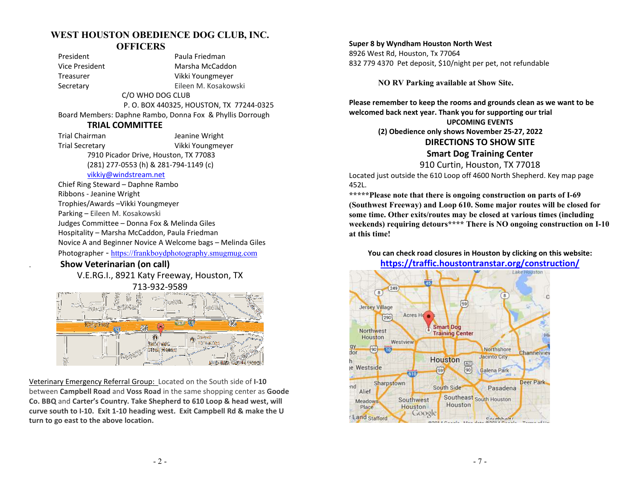# **WEST HOUSTON OBEDIENCE DOG CLUB, INC.**

## **OFFICERS**

President President Paula Friedman Vice President Marsha McCaddon Treasurer Vikki Youngmeyer Secretary **Eileen M. Kosakowski** C/O WHO DOG CLUB P. O. BOX 440325, HOUSTON, TX 77244-0325 Board Members: Daphne Rambo, Donna Fox & Phyllis Dorrough **TRIAL COMMITTEE**

> Trial Chairman Jeanine Wright Trial Secretary Vikki Youngmeyer 7910 Picador Drive, Houston, TX 77083 (281) 277-0553 (h) & 281-794-1149 (c) vikkiy@windstream.net

 Chief Ring Steward – Daphne Rambo Ribbons - Jeanine Wright Trophies/Awards –Vikki Youngmeyer Parking – Eileen M. Kosakowski Judges Committee – Donna Fox & Melinda Giles Hospitality – Marsha McCaddon, Paula Friedman Novice A and Beginner Novice A Welcome bags – Melinda GilesPhotographer - https://frankboydphotography.smugmug.com

## **Show Veterinarian (on call)**

V.E.RG.I., 8921 Katy Freeway, Houston, TX 713-932-9589



Veterinary Emergency Referral Group: Located on the South side of **I-10** between **Campbell Road** and **Voss Road** in the same shopping center as **Goode Co. BBQ** and **Carter's Country. Take Shepherd to 610 Loop & head west, will curve south to I-10. Exit 1-10 heading west. Exit Campbell Rd & make the U turn to go east to the above location.** 

#### **Super 8 by Wyndham Houston North West**

8926 West Rd, Houston, Tx 77064 832 779 4370 Pet deposit, \$10/night per pet, not refundable

**NO RV Parking available at Show Site.** 

**Please remember to keep the rooms and grounds clean as we want to be welcomed back next year. Thank you for supporting our trial UPCOMING EVENTS (2) Obedience only shows November 25-27, 2022** 

# **DIRECTIONS TO SHOW SITE**

# **Smart Dog Training Center**

910 Curtin, Houston, TX 77018

Located just outside the 610 Loop off 4600 North Shepherd. Key map page 452L.

**\*\*\*\*\*Please note that there is ongoing construction on parts of I-69 (Southwest Freeway) and Loop 610. Some major routes will be closed for some time. Other exits/routes may be closed at various times (including weekends) requiring detours\*\*\*\* There is NO ongoing construction on I-10 at this time!** 

**You can check road closures in Houston by clicking on this website: https://traffic.houstontranstar.org/construction/**

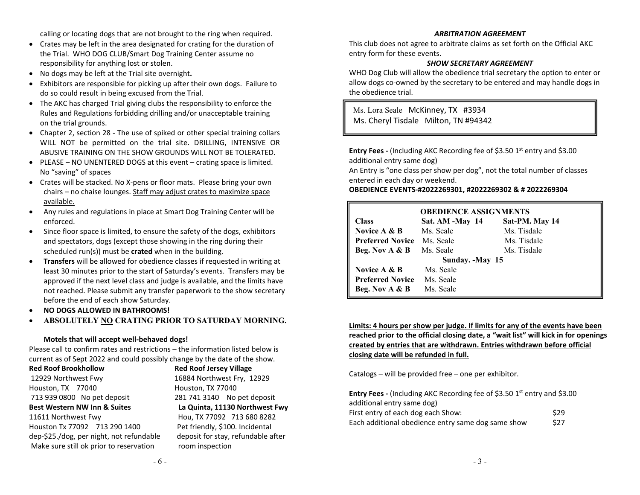calling or locating dogs that are not brought to the ring when required.

- Crates may be left in the area designated for crating for the duration of the Trial. WHO DOG CLUB/Smart Dog Training Center assume no responsibility for anything lost or stolen.
- No dogs may be left at the Trial site overnight**.**
- $\bullet$  Exhibitors are responsible for picking up after their own dogs. Failure to do so could result in being excused from the Trial.
- The AKC has charged Trial giving clubs the responsibility to enforce the Rules and Regulations forbidding drilling and/or unacceptable training on the trial grounds.
- Chapter 2, section 28 The use of spiked or other special training collars WILL NOT be permitted on the trial site. DRILLING, INTENSIVE OR ABUSIVE TRAINING ON THE SHOW GROUNDS WILL NOT BE TOLERATED.
- PLEASE NO UNENTERED DOGS at this event crating space is limited. No "saving" of spaces
- Crates will be stacked. No X-pens or floor mats. Please bring your own chairs – no chaise lounges. Staff may adjust crates to maximize space available.
- $\bullet$  Any rules and regulations in place at Smart Dog Training Center will be enforced.
- $\bullet$  Since floor space is limited, to ensure the safety of the dogs, exhibitors and spectators, dogs (except those showing in the ring during their scheduled run(s)) must be **crated** when in the building.
- $\bullet$  **Transfers** will be allowed for obedience classes if requested in writing at least 30 minutes prior to the start of Saturday's events. Transfers may be approved if the next level class and judge is available, and the limits have not reached. Please submit any transfer paperwork to the show secretary before the end of each show Saturday.
- e **NO DOGS ALLOWED IN BATHROOMS!**
- 0 **ABSOLUTELY NO CRATING PRIOR TO SATURDAY MORNING.**

#### **Motels that will accept well-behaved dogs!**

Please call to confirm rates and restrictions – the information listed below is current as of Sept 2022 and could possibly change by the date of the show.

| Red ROOT Brookhollow                     |
|------------------------------------------|
| 12929 Northwest Fwy                      |
| Houston, TX 77040                        |
| 713 939 0800 No pet deposit              |
| <b>Best Western NW Inn &amp; Suites</b>  |
| 11611 Northwest Fwy                      |
| Houston Tx 77092 713 290 1400            |
| dep-\$25./dog, per night, not refundable |
| Make sure still ok prior to reservation  |

**Red Roof Brookhollow**

 **Red Roof Jersey Village** 12929 Northwest Fwy 16884 Northwest Fry, 12929 Houston, TX 77040 281 741 3140 No pet deposit **La Quinta, 11130 Northwest Fwy**11611 Northwest Fwy Hou, TX 77092 713 680 8282 Pet friendly, \$100. Incidental deposit for stay, refundable after room inspection

#### *ARBITRATION AGREEMENT*

This club does not agree to arbitrate claims as set forth on the Official AKC entry form for these events.

#### *SHOW SECRETARY AGREEMENT*

 WHO Dog Club will allow the obedience trial secretary the option to enter or allow dogs co-owned by the secretary to be entered and may handle dogs in the obedience trial.

 Ms. Lora Seale McKinney, TX #3934Ms. Cheryl Tisdale Milton, TN #94342

**Entry Fees -** (Including AKC Recording fee of \$3.50 1<sup>st</sup> entry and \$3.00 additional entry same dog)

An Entry is "one class per show per dog", not the total number of classes entered in each day or weekend.

#### **OBEDIENCE EVENTS-#2022269301, #2022269302 & # 2022269304**

| <b>OBEDIENCE ASSIGNMENTS</b> |                 |                |  |  |  |
|------------------------------|-----------------|----------------|--|--|--|
| <b>Class</b>                 | Sat. AM -May 14 | Sat-PM. May 14 |  |  |  |
| Novice $A \& B$              | Ms. Seale       | Ms. Tisdale    |  |  |  |
| <b>Preferred Novice</b>      | Ms. Seale       | Ms. Tisdale    |  |  |  |
| Beg. Nov A & B               | Ms. Seale       | Ms. Tisdale    |  |  |  |
|                              | Sunday. -May 15 |                |  |  |  |
| Novice A & B                 | Ms. Seale       |                |  |  |  |
| <b>Preferred Novice</b>      | Ms. Seale       |                |  |  |  |
| Beg. Nov A & B               | Ms. Seale       |                |  |  |  |

**Limits: 4 hours per show per judge. If limits for any of the events have been reached prior to the official closing date, a "wait list" will kick in for openings created by entries that are withdrawn. Entries withdrawn before official closing date will be refunded in full.** 

Catalogs – will be provided free – one per exhibitor.

| <b>Entry Fees -</b> (Including AKC Recording fee of \$3.50 $1st$ entry and \$3.00 |      |
|-----------------------------------------------------------------------------------|------|
| additional entry same dog)                                                        |      |
| First entry of each dog each Show:                                                | \$29 |
| Each additional obedience entry same dog same show                                | \$27 |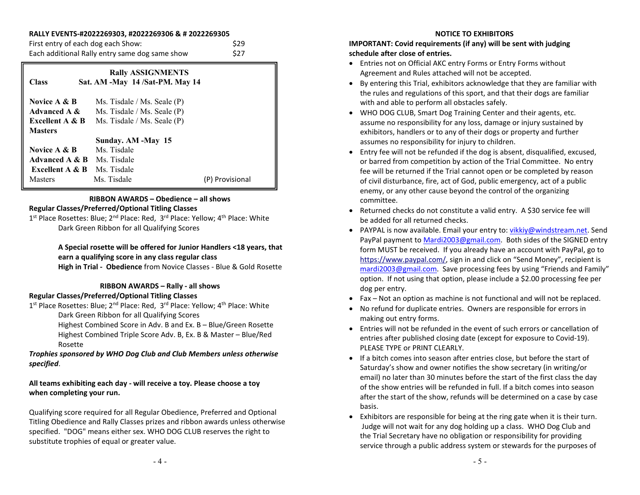#### **RALLY EVENTS-#2022269303, #2022269306 & # 2022269305**

First entry of each dog each Show:  $$29$ Each additional Rally entry same dog same show \$27

## **Rally ASSIGNMENTS Class Sat. AM -May 14 /Sat-PM. May 14**

| Novice $A \& B$  | Ms. Tisdale / Ms. Seale $(P)$ |                 |
|------------------|-------------------------------|-----------------|
| Advanced A &     | Ms. Tisdale / Ms. Seale $(P)$ |                 |
| Excellent A & B  | Ms. Tisdale / Ms. Seale $(P)$ |                 |
| <b>Masters</b>   |                               |                 |
|                  | Sunday. AM -May 15            |                 |
| Novice A & B     | Ms. Tisdale                   |                 |
| Advanced $A & B$ | Ms. Tisdale                   |                 |
| Excellent A & B  | Ms. Tisdale                   |                 |
| Masters          | Ms. Tisdale                   | (P) Provisional |

#### **RIBBON AWARDS – Obedience – all shows**

#### **Regular Classes/Preferred/Optional Titling Classes**

 $1<sup>st</sup>$  Place Rosettes: Blue;  $2<sup>nd</sup>$  Place: Red,  $3<sup>rd</sup>$  Place: Yellow;  $4<sup>th</sup>$  Place: White Dark Green Ribbon for all Qualifying Scores

> **A Special rosette will be offered for Junior Handlers <18 years, that earn a qualifying score in any class regular class**

\$27

**High in Trial - Obedience** from Novice Classes - Blue & Gold Rosette

# **RIBBON AWARDS – Rally - all shows**

### **Regular Classes/Preferred/Optional Titling Classes**

1<sup>st</sup> Place Rosettes: Blue; 2<sup>nd</sup> Place: Red, 3<sup>rd</sup> Place: Yellow; 4<sup>th</sup> Place: White Dark Green Ribbon for all Qualifying Scores

Highest Combined Score in Adv. B and Ex. B – Blue/Green Rosette Highest Combined Triple Score Adv. B, Ex. B & Master – Blue/Red Rosette

#### *Trophies sponsored by WHO Dog Club and Club Members unless otherwise specified*.

#### **All teams exhibiting each day - will receive a toy. Please choose a toy when completing your run.**

Qualifying score required for all Regular Obedience, Preferred and Optional Titling Obedience and Rally Classes prizes and ribbon awards unless otherwise specified. "DOG" means either sex. WHO DOG CLUB reserves the right to substitute trophies of equal or greater value.

#### **NOTICE TO EXHIBITORS**

**IMPORTANT: Covid requirements (if any) will be sent with judging schedule after close of entries.** 

- Entries not on Official AKC entry Forms or Entry Forms without Agreement and Rules attached will not be accepted.
- By entering this Trial, exhibitors acknowledge that they are familiar with the rules and regulations of this sport, and that their dogs are familiar with and able to perform all obstacles safely.
- WHO DOG CLUB, Smart Dog Training Center and their agents, etc. assume no responsibility for any loss, damage or injury sustained by exhibitors, handlers or to any of their dogs or property and further assumes no responsibility for injury to children.
- Entry fee will not be refunded if the dog is absent, disqualified, excused, or barred from competition by action of the Trial Committee. No entry fee will be returned if the Trial cannot open or be completed by reason of civil disturbance, fire, act of God, public emergency, act of a public enemy, or any other cause beyond the control of the organizing committee.
- Returned checks do not constitute a valid entry. A \$30 service fee will be added for all returned checks.
- PAYPAL is now available. Email your entry to: <u>vikkiy@windstream.net</u>. Send PayPal payment to Mardi2003@gmail.com. Both sides of the SIGNED entry form MUST be received. If you already have an account with PayPal, go to https://www.paypal.com/, sign in and click on "Send Money", recipient is mardi2003@gmail.com. Save processing fees by using "Friends and Family" option. If not using that option, please include a \$2.00 processing fee per dog per entry.
- Fax Not an option as machine is not functional and will not be replaced.
- c No refund for duplicate entries. Owners are responsible for errors in making out entry forms.
- Entries will not be refunded in the event of such errors or cancellation of entries after published closing date (except for exposure to Covid-19). PLEASE TYPE or PRINT CLEARLY.
- If a bitch comes into season after entries close, but before the start of Saturday's show and owner notifies the show secretary (in writing/or email) no later than 30 minutes before the start of the first class the day of the show entries will be refunded in full. If a bitch comes into season after the start of the show, refunds will be determined on a case by case basis.
- c Exhibitors are responsible for being at the ring gate when it is their turn. Judge will not wait for any dog holding up a class. WHO Dog Club and the Trial Secretary have no obligation or responsibility for providing service through a public address system or stewards for the purposes of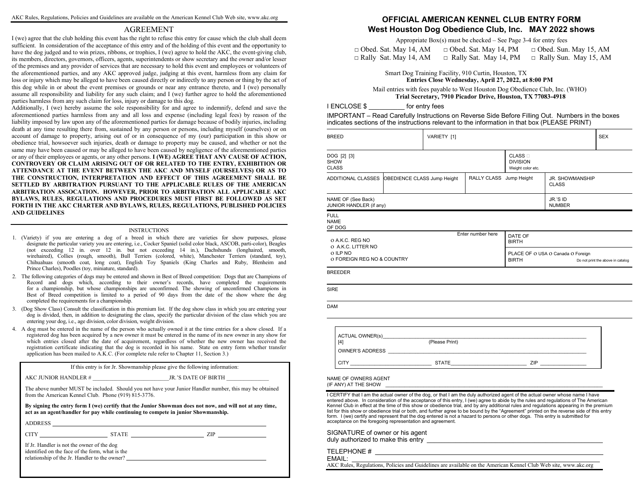#### AGREEMENT

I (we) agree that the club holding this event has the right to refuse this entry for cause which the club shall deem sufficient. In consideration of the acceptance of this entry and of the holding of this event and the opportunity to have the dog judged and to win prizes, ribbons, or trophies, I (we) agree to hold the AKC, the event-giving club, its members, directors, governors, officers, agents, superintendents or show secretary and the owner and/or lesser of the premises and any provider of services that are necessary to hold this event and employees or volunteers of the aforementioned parties, and any AKC approved judge, judging at this event, harmless from any claim for loss or injury which may be alleged to have been caused directly or indirectly to any person or thing by the act of this dog while in or about the event premises or grounds or near any entrance thereto, and I (we) personally assume all responsibility and liability for any such claim; and I (we) further agree to hold the aforementioned parties harmless from any such claim for loss, injury or damage to this dog.

 Additionally, I (we) hereby assume the sole responsibility for and agree to indemnify, defend and save the aforementioned parties harmless from any and all loss and expense (including legal fees) by reason of the liability imposed by law upon any of the aforementioned parties for damage because of bodily injuries, including death at any time resulting there from, sustained by any person or persons, including myself (ourselves) or on account of damage to property, arising out of or in consequence of my (our) participation in this show or obedience trial, howsoever such injuries, death or damage to property may be caused, and whether or not the same may have been caused or may be alleged to have been caused by negligence of the aforementioned parties or any of their employees or agents, or any other persons. **I (WE) AGREE THAT ANY CAUSE OF ACTION, CONTROVERY OR CLAIM ARISING OUT OF OR RELATED TO THE ENTRY, EXHIBITION OR ATTENDANCE AT THE EVENT BETWEEN THE AKC AND MYSELF (OURSELVES) OR AS TO THE CONSTRUCTION, INTERPRETATION AND EFFECT OF THIS AGREEMENT SHALL BE SETTLED BY ARBITRATION PURSUANT TO THE APPLICABLE RULES OF THE AMERICAN ARBITRATION ASSOCATION. HOWEVER, PRIOR TO ARBITRATION ALL APPLICABLE AKC BYLAWS, RULES, REGULATIONS AND PROCEDURES MUST FIRST BE FOLLOWED AS SET FORTH IN THE AKC CHARTER AND BYLAWS, RULES, REGULATIONS, PUBLISHED POLICIES AND GUIDELINES** 

#### INSTRUCTIONS

- 1. (Variety) if you are entering a dog of a breed in which there are varieties for show purposes, please designate the particular variety you are entering, i.e., Cocker Spaniel (solid color black, ASCOB, parti-color), Beagles (not exceeding 12 in. over 12 in. but not exceeding 14 in.), Dachshunds (longhaired, smooth, wirehaired), Collies (rough, smooth), Bull Terriers (colored, white), Manchester Terriers (standard, toy), Chihuahuas (smooth coat, long coat), English Toy Spaniels (King Charles and Ruby, Blenheim and Prince Charles), Poodles (toy, miniature, standard).
- 2. The following categories of dogs may be entered and shown in Best of Breed competition: Dogs that are Champions of Record and dogs which, according to their owner's records, have completed the requirements for a championship, but whose championships are unconfirmed. The showing of unconfirmed Champions in Best of Breed competition is limited to a period of 90 days from the date of the show where the dog completed the requirements for a championship.
- 3. (Dog Show Class) Consult the classification in this premium list. If the dog show class in which you are entering your dog is divided, then, in addition to designating the class, specify the particular division of the class which you are entering your dog, i.e., age division, color division, weight division.
- 4. A dog must be entered in the name of the person who actually owned it at the time entries for a show closed. If a registered dog has been acquired by a new owner it must be entered in the name of its new owner in any show for which entries closed after the date of acquirement, regardless of whether the new owner has received the registration certificate indicating that the dog is recorded in his name. State on entry form whether transfer application has been mailed to A.K.C. (For complete rule refer to Chapter 11, Section 3.)

If this entry is for Jr. Showmanship please give the following information:

#### AKC JUNIOR HANDLER #  $JR.$ 'S DATE OF BIRTH

The above number MUST be included. Should you not have your Junior Handler number, this may be obtained from the American Kennel Club. Phone (919) 815-3776.

**By signing the entry form I (we) certify that the Junior Showman does not now, and will not at any time, act as an agent/handler for pay while continuing to compete in junior Showmanship.** 

ADDRESS

CITY STATE ZIP

If Jr. Handler is not the owner of the dog identified on the face of the form, what is the relationship of the Jr. Handler to the owner?

#### **OFFICIAL AMERICAN KENNEL CLUB ENTRY FORM West Houston Dog Obedience Club, Inc. MAY 2022 shows**

Appropriate Box(s) must be checked – See Page 3-4 for entry fees

| $\Box$ Obed. Sat. May 14, AM | $\Box$ Obed. Sat. May 14, PM | $\Box$ Obed. Sun. May 15, AM                              |
|------------------------------|------------------------------|-----------------------------------------------------------|
| □ Rally Sat. May 14, AM      |                              | $\Box$ Rally Sat. May 14, PM $\Box$ Rally Sun. May 15, AM |

Smart Dog Training Facility, 910 Curtin, Houston, TX **Entries Close Wednesday, April 27, 2022, at 8:00 PM**

 Mail entries with fees payable to West Houston Dog Obedience Club, Inc. (WHO)  **Trial Secretary, 7910 Picador Drive, Houston, TX 77083-4918** 

I ENCLOSE \$ for entry fees

IMPORTANT – Read Carefully Instructions on Reverse Side Before Filling Out. Numbers in the boxes indicates sections of the instructions relevant to the information in that box (PLEASE PRINT)

|                                               |                                                                           | VARIETY [1] |                   |                                                            |                                   | <b>SEX</b>                        |
|-----------------------------------------------|---------------------------------------------------------------------------|-------------|-------------------|------------------------------------------------------------|-----------------------------------|-----------------------------------|
| DOG [2] [3]<br><b>SHOW</b><br><b>CLASS</b>    |                                                                           |             |                   | CLASS <sub>D</sub><br><b>DIVISION</b><br>Weight color etc. |                                   |                                   |
|                                               | RALLY CLASS Jump Height<br>ADDITIONAL CLASSES OBEDIENCE CLASS Jump Height |             |                   |                                                            | JR. SHOWMANSHIP<br><b>CLASS</b>   |                                   |
| NAME OF (See Back)<br>JUNIOR HANDLER (if any) |                                                                           |             |                   |                                                            | JR.'S ID<br><b>NUMBER</b>         |                                   |
| <b>FULL</b><br><b>NAME</b><br>OF DOG          |                                                                           |             |                   |                                                            |                                   |                                   |
| O A.K.C. REG NO<br>O A.K.C. LITTER NO         |                                                                           |             | Enter number here | DATE OF<br><b>BIRTH</b>                                    |                                   |                                   |
| O ILP NO<br>O FOREIGN REG NO & COUNTRY        |                                                                           |             |                   | <b>BIRTH</b>                                               | PLACE OF O USA O Canada O Foreign | Do not print the above in catalog |
| <b>DAM</b>                                    |                                                                           |             |                   |                                                            |                                   |                                   |
|                                               |                                                                           |             |                   |                                                            |                                   |                                   |
| [4]                                           |                                                                           |             |                   |                                                            |                                   |                                   |
|                                               |                                                                           |             |                   |                                                            |                                   |                                   |

TELEPHONE #

EMAIL:<br>AKC Rules, Regulations, Policies and Guidelines are available on the American Kennel Club Web site, www.akc.org